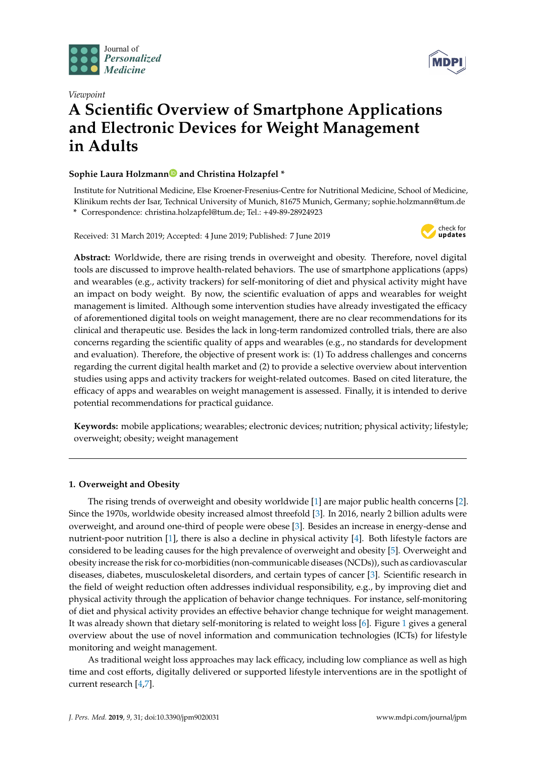



# *Viewpoint* **A Scientific Overview of Smartphone Applications and Electronic Devices for Weight Management in Adults**

# **Sophie Laura Holzman[n](https://orcid.org/0000-0001-8004-4713) and Christina Holzapfel \***

Institute for Nutritional Medicine, Else Kroener-Fresenius-Centre for Nutritional Medicine, School of Medicine, Klinikum rechts der Isar, Technical University of Munich, 81675 Munich, Germany; sophie.holzmann@tum.de **\*** Correspondence: christina.holzapfel@tum.de; Tel.: +49-89-28924923

Received: 31 March 2019; Accepted: 4 June 2019; Published: 7 June 2019



**Abstract:** Worldwide, there are rising trends in overweight and obesity. Therefore, novel digital tools are discussed to improve health-related behaviors. The use of smartphone applications (apps) and wearables (e.g., activity trackers) for self-monitoring of diet and physical activity might have an impact on body weight. By now, the scientific evaluation of apps and wearables for weight management is limited. Although some intervention studies have already investigated the efficacy of aforementioned digital tools on weight management, there are no clear recommendations for its clinical and therapeutic use. Besides the lack in long-term randomized controlled trials, there are also concerns regarding the scientific quality of apps and wearables (e.g., no standards for development and evaluation). Therefore, the objective of present work is: (1) To address challenges and concerns regarding the current digital health market and (2) to provide a selective overview about intervention studies using apps and activity trackers for weight-related outcomes. Based on cited literature, the efficacy of apps and wearables on weight management is assessed. Finally, it is intended to derive potential recommendations for practical guidance.

**Keywords:** mobile applications; wearables; electronic devices; nutrition; physical activity; lifestyle; overweight; obesity; weight management

## **1. Overweight and Obesity**

The rising trends of overweight and obesity worldwide [\[1\]](#page-7-0) are major public health concerns [\[2\]](#page-7-1). Since the 1970s, worldwide obesity increased almost threefold [\[3\]](#page-7-2). In 2016, nearly 2 billion adults were overweight, and around one-third of people were obese [\[3\]](#page-7-2). Besides an increase in energy-dense and nutrient-poor nutrition [\[1\]](#page-7-0), there is also a decline in physical activity [\[4\]](#page-7-3). Both lifestyle factors are considered to be leading causes for the high prevalence of overweight and obesity [\[5\]](#page-7-4). Overweight and obesity increase the risk for co-morbidities (non-communicable diseases (NCDs)), such as cardiovascular diseases, diabetes, musculoskeletal disorders, and certain types of cancer [\[3\]](#page-7-2). Scientific research in the field of weight reduction often addresses individual responsibility, e.g., by improving diet and physical activity through the application of behavior change techniques. For instance, self-monitoring of diet and physical activity provides an effective behavior change technique for weight management. It was already shown that dietary self-monitoring is related to weight loss [\[6\]](#page-7-5). Figure [1](#page-1-0) gives a general overview about the use of novel information and communication technologies (ICTs) for lifestyle monitoring and weight management.

As traditional weight loss approaches may lack efficacy, including low compliance as well as high time and cost efforts, digitally delivered or supported lifestyle interventions are in the spotlight of current research [\[4,](#page-7-3)[7\]](#page-7-6).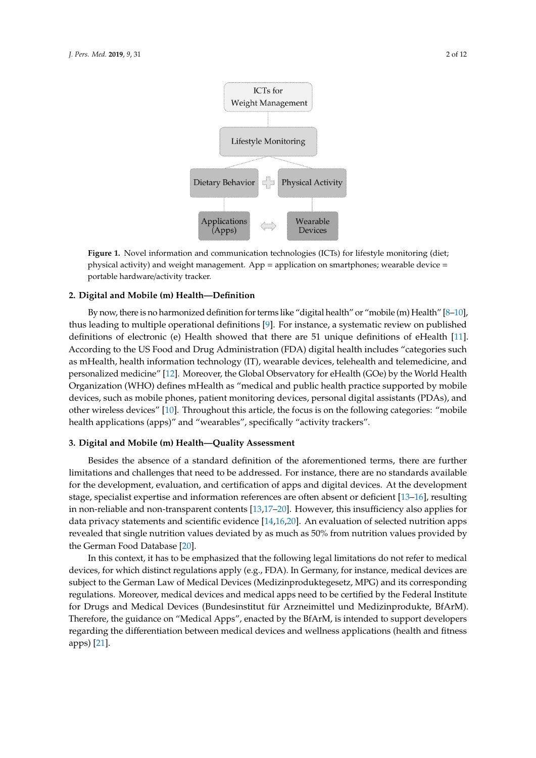<span id="page-1-0"></span>

**Figure 1.** Novel information and communication technologies (ICTs) for lifestyle monitoring (diet; **Figure 1.** Novel information and communication technologies (ICTs) for lifestyle monitoring (diet; physical activity) and weight management. App = application on smartphones; wearable device = physical activity) and weight management. App = application on smartphones; wearable device = portable hardware/activity tracker. portable hardware/activity tracker.

# As traditional weight loss approaches may lack efficacy, including low compliance as well as **2. Digital and Mobile (m) Health—Definition**

By now, there is no harmonized definition for terms like "digital health" or "mobile (m) Health" [\[8–](#page-7-7)[10\]](#page-7-8), thus leading to multiple operational definitions [\[9\]](#page-7-9). For instance, a systematic review on published According to the US Food and Drug Administration (FDA) digital health includes "categories such as mHealth, health information technology (IT), wearable devices, telehealth and telemedicine, and personalized medicine" [\[12\]](#page-7-11). Moreover, the Global Observatory for eHealth (GOe) by the World Health Organization (WHO) defines mHealth as "medical and public health practice supported by mobile devices, such as mobile phones, patient monitoring devices, personal digital assistants (PDAs), and other wireless devices" [\[10\]](#page-7-8). Throughout this article, the focus is on the following categories: "mobile health applications (apps)" and "wearables", specifically "activity trackers". definitions of electronic (e) Health showed that there are 51 unique definitions of eHealth [\[11\]](#page-7-10).

# $\mathbf{F}$  defines medical as "medical and public health practice supported by  $\mathbf{F}$ mobile devices, such as mobile phones, patient monitoring devices, personal digital assistants (PDAs), **3. Digital and Mobile (m) Health—Quality Assessment**

Besides the absence of a standard definition of the aforementioned terms, there are further Besides the absence of a standard definition of the aforementioned terms, there are further<br>limitations and challenges that need to be addressed. For instance, there are no standards available stage, specialist expertise and information references are often absent or deficient [\[13](#page-8-0)[–16\]](#page-8-1), resulting in non-reliable and non-transparent contents [\[13](#page-8-0)[,17](#page-8-2)[–20\]](#page-8-3). However, this insufficiency also applies for data privacy statements and scientific evidence [\[14,](#page-8-4)[16,](#page-8-1)[20\]](#page-8-3). An evaluation of selected nutrition apps revealed that single nutrition values deviated by as much as 50% from nutrition values provided by revelopment  $\frac{1}{2}$ stage, specialist expertise and information references are often absent or definition  $\frac{1}{2}$ , resulting  $\frac{1}{2}$ for the development, evaluation, and certification of apps and digital devices. At the development the German Food Database [\[20\]](#page-8-3).

In this context, it has to be emphasized that the following legal limitations do not refer to medical devices, for which distinct regulations apply (e.g., FDA). In Germany, for instance, medical devices are subject to the German Law of Medical Devices (Medizinproduktegesetz, MPG) and its corresponding subject to the regulations. Moreover, medical devices and medical apps need to be certified by the Federal Institute for Drugs and Medical Devices (Bundesinstitut für Arzneimittel und Medizinprodukte, BfArM).<br>— Therefore, the guidance on "Medical Apps", enacted by the BfArM, is intended to support developers regarding the differentiation between medical devices and wellness applications (health and fitness  $\frac{1}{2}$  $c_1$ corresponding regulations. Moreover, medical approximations and medical approximations of  $c_1$ . apps) [\[21\]](#page-8-5).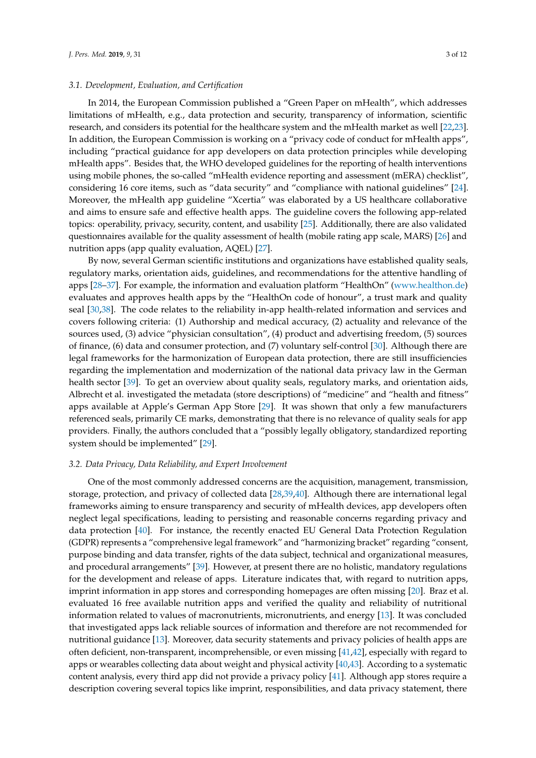#### *3.1. Development, Evaluation, and Certification*

In 2014, the European Commission published a "Green Paper on mHealth", which addresses limitations of mHealth, e.g., data protection and security, transparency of information, scientific research, and considers its potential for the healthcare system and the mHealth market as well [\[22](#page-8-6)[,23\]](#page-8-7). In addition, the European Commission is working on a "privacy code of conduct for mHealth apps", including "practical guidance for app developers on data protection principles while developing mHealth apps". Besides that, the WHO developed guidelines for the reporting of health interventions using mobile phones, the so-called "mHealth evidence reporting and assessment (mERA) checklist", considering 16 core items, such as "data security" and "compliance with national guidelines" [\[24\]](#page-8-8). Moreover, the mHealth app guideline "Xcertia" was elaborated by a US healthcare collaborative and aims to ensure safe and effective health apps. The guideline covers the following app-related topics: operability, privacy, security, content, and usability [\[25\]](#page-8-9). Additionally, there are also validated questionnaires available for the quality assessment of health (mobile rating app scale, MARS) [\[26\]](#page-8-10) and nutrition apps (app quality evaluation, AQEL) [\[27\]](#page-8-11).

By now, several German scientific institutions and organizations have established quality seals, regulatory marks, orientation aids, guidelines, and recommendations for the attentive handling of apps [\[28](#page-8-12)[–37\]](#page-9-0). For example, the information and evaluation platform "HealthOn" [\(www.healthon.de\)](www.healthon.de) evaluates and approves health apps by the "HealthOn code of honour", a trust mark and quality seal [\[30](#page-8-13)[,38\]](#page-9-1). The code relates to the reliability in-app health-related information and services and covers following criteria: (1) Authorship and medical accuracy, (2) actuality and relevance of the sources used, (3) advice "physician consultation", (4) product and advertising freedom, (5) sources of finance, (6) data and consumer protection, and (7) voluntary self-control [\[30\]](#page-8-13). Although there are legal frameworks for the harmonization of European data protection, there are still insufficiencies regarding the implementation and modernization of the national data privacy law in the German health sector [\[39\]](#page-9-2). To get an overview about quality seals, regulatory marks, and orientation aids, Albrecht et al. investigated the metadata (store descriptions) of "medicine" and "health and fitness" apps available at Apple's German App Store [\[29\]](#page-8-14). It was shown that only a few manufacturers referenced seals, primarily CE marks, demonstrating that there is no relevance of quality seals for app providers. Finally, the authors concluded that a "possibly legally obligatory, standardized reporting system should be implemented" [\[29\]](#page-8-14).

#### *3.2. Data Privacy, Data Reliability, and Expert Involvement*

One of the most commonly addressed concerns are the acquisition, management, transmission, storage, protection, and privacy of collected data [\[28,](#page-8-12)[39](#page-9-2)[,40\]](#page-9-3). Although there are international legal frameworks aiming to ensure transparency and security of mHealth devices, app developers often neglect legal specifications, leading to persisting and reasonable concerns regarding privacy and data protection [\[40\]](#page-9-3). For instance, the recently enacted EU General Data Protection Regulation (GDPR) represents a "comprehensive legal framework" and "harmonizing bracket" regarding "consent, purpose binding and data transfer, rights of the data subject, technical and organizational measures, and procedural arrangements" [\[39\]](#page-9-2). However, at present there are no holistic, mandatory regulations for the development and release of apps. Literature indicates that, with regard to nutrition apps, imprint information in app stores and corresponding homepages are often missing [\[20\]](#page-8-3). Braz et al. evaluated 16 free available nutrition apps and verified the quality and reliability of nutritional information related to values of macronutrients, micronutrients, and energy [\[13\]](#page-8-0). It was concluded that investigated apps lack reliable sources of information and therefore are not recommended for nutritional guidance [\[13\]](#page-8-0). Moreover, data security statements and privacy policies of health apps are often deficient, non-transparent, incomprehensible, or even missing [\[41](#page-9-4)[,42\]](#page-9-5), especially with regard to apps or wearables collecting data about weight and physical activity [\[40,](#page-9-3)[43\]](#page-9-6). According to a systematic content analysis, every third app did not provide a privacy policy [\[41\]](#page-9-4). Although app stores require a description covering several topics like imprint, responsibilities, and data privacy statement, there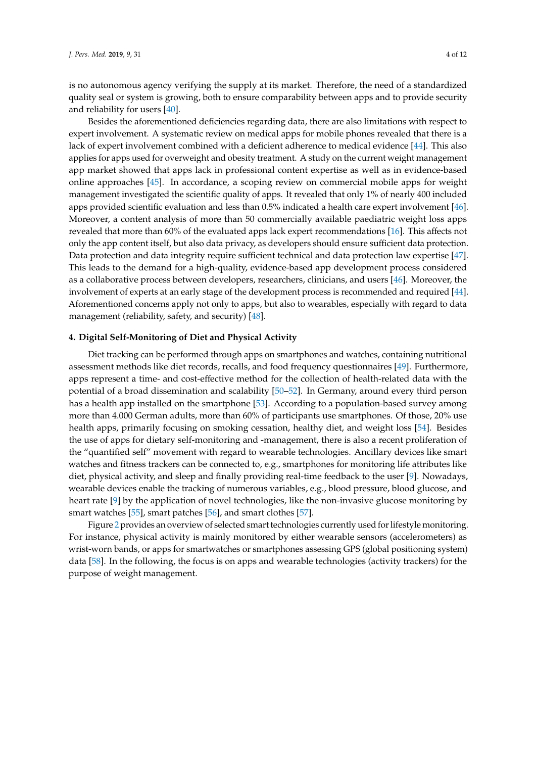is no autonomous agency verifying the supply at its market. Therefore, the need of a standardized quality seal or system is growing, both to ensure comparability between apps and to provide security and reliability for users [\[40\]](#page-9-3).

Besides the aforementioned deficiencies regarding data, there are also limitations with respect to expert involvement. A systematic review on medical apps for mobile phones revealed that there is a lack of expert involvement combined with a deficient adherence to medical evidence [\[44\]](#page-9-7). This also applies for apps used for overweight and obesity treatment. A study on the current weight management app market showed that apps lack in professional content expertise as well as in evidence-based online approaches [\[45\]](#page-9-8). In accordance, a scoping review on commercial mobile apps for weight management investigated the scientific quality of apps. It revealed that only 1% of nearly 400 included apps provided scientific evaluation and less than 0.5% indicated a health care expert involvement [\[46\]](#page-9-9). Moreover, a content analysis of more than 50 commercially available paediatric weight loss apps revealed that more than 60% of the evaluated apps lack expert recommendations [\[16\]](#page-8-1). This affects not only the app content itself, but also data privacy, as developers should ensure sufficient data protection. Data protection and data integrity require sufficient technical and data protection law expertise [\[47\]](#page-9-10). This leads to the demand for a high-quality, evidence-based app development process considered as a collaborative process between developers, researchers, clinicians, and users [\[46\]](#page-9-9). Moreover, the involvement of experts at an early stage of the development process is recommended and required [\[44\]](#page-9-7). Aforementioned concerns apply not only to apps, but also to wearables, especially with regard to data management (reliability, safety, and security) [\[48\]](#page-9-11).

#### **4. Digital Self-Monitoring of Diet and Physical Activity**

Diet tracking can be performed through apps on smartphones and watches, containing nutritional assessment methods like diet records, recalls, and food frequency questionnaires [\[49\]](#page-9-12). Furthermore, apps represent a time- and cost-effective method for the collection of health-related data with the potential of a broad dissemination and scalability [\[50–](#page-9-13)[52\]](#page-9-14). In Germany, around every third person has a health app installed on the smartphone [\[53\]](#page-9-15). According to a population-based survey among more than 4.000 German adults, more than 60% of participants use smartphones. Of those, 20% use health apps, primarily focusing on smoking cessation, healthy diet, and weight loss [\[54\]](#page-10-0). Besides the use of apps for dietary self-monitoring and -management, there is also a recent proliferation of the "quantified self" movement with regard to wearable technologies. Ancillary devices like smart watches and fitness trackers can be connected to, e.g., smartphones for monitoring life attributes like diet, physical activity, and sleep and finally providing real-time feedback to the user [\[9\]](#page-7-9). Nowadays, wearable devices enable the tracking of numerous variables, e.g., blood pressure, blood glucose, and heart rate [\[9\]](#page-7-9) by the application of novel technologies, like the non-invasive glucose monitoring by smart watches [\[55\]](#page-10-1), smart patches [\[56\]](#page-10-2), and smart clothes [\[57\]](#page-10-3).

Figure [2](#page-4-0) provides an overview of selected smart technologies currently used for lifestyle monitoring. For instance, physical activity is mainly monitored by either wearable sensors (accelerometers) as wrist-worn bands, or apps for smartwatches or smartphones assessing GPS (global positioning system) data [\[58\]](#page-10-4). In the following, the focus is on apps and wearable technologies (activity trackers) for the purpose of weight management.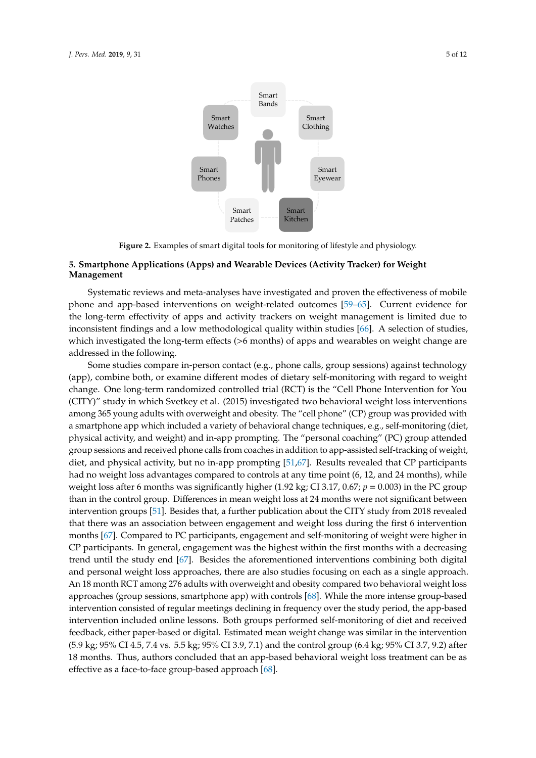<span id="page-4-0"></span>

**Figure 2.** Examples of smart digital tools for monitoring of lifestyle and physiology. **Figure 2.** Examples of smart digital tools for monitoring of lifestyle and physiology.

### **5. Smartphone Applications (Apps) and Wearable Devices (Activity Tracker) for Weight Management 5. Smartphone Applications (Apps) and Wearable Devices (Activity Tracker) for Weight**

Systematic reviews and meta-analyses have investigated and proven the effectiveness of mobile phone and app-based interventions on weight-related outcomes [\[59](#page-10-5)[–65\]](#page-10-6). Current evidence for the long-term effectivity of apps and activity trackers on weight management is limited due to inconsistent findings and a low methodological quality within studies [66]. A selection of studies, which investigated the long-term effects (>6 months) of apps and wearables on weight change are addressed in the following.  $\overline{a}$ 

Some studies compare in-person contact (e.g., phone calls, group sessions) against technology (app), combine both, or examine different modes of dietary self-monitoring with regard to weight (app), combine both, or examine different modes of dietary self-monitoring with regard to weight<br>change. One long-term randomized controlled trial (RCT) is the "Cell Phone Intervention for You (CITY)" study in which Svetkey et al. (2015) investigated two behavioral weight loss interventions among 365 young adults with overweight and obesity. The "cell phone" (CP) group was provided with among 365 young adults with overweight and obesity. The "cell phone" (CP) group was provided with<br>a smartphone app which included a variety of behavioral change techniques, e.g., self-monitoring (diet, physical activity, and weight) and in-app prompting. The "personal coaching" (PC) group attended group sessions and received phone calls from coaches in addition to app-assisted self-tracking of weight, diet, and physical activity, but no in-app prompting [51,67]. Results revealed that CP participants had no weight loss advantages compared to controls at any time point (6, 12, and 24 months), while weight loss after 6 months was significantly higher (1.92 kg; CI 3.17, 0.67;  $p = 0.003$ ) in the PC group than in the control group. Differences in mean weight loss at 24 months were not significant between intervention groups [51]. Besides that, a further publication about the CITY study from 2018 revealed that there was an association between engagement and weight loss during the first 6 intervention months [67]. C[om](#page-10-8)pared to PC participants, engagement and self-monitoring of weight were higher in CP participants. In general, engagement was the highest within the first months with a decreasing trend until the study end [67]. Besides the aforementioned interventions combining both digital and personal weight loss approaches, there are also studies focusing on each as a single approach. An 18 month RCT among 276 adults with overweight and obesity compared two behavioral weight loss approaches (group sessions, smartphone app) [wi](#page-10-9)th controls [68]. While the more intense group-based intervention consisted of regular meetings declining in frequency over the study period, the app-based intervention included online lessons. Both groups performed self-monitoring of diet and received feedback, either paper-based or digital. Estimated mean weight change was similar in the intervention (5.9 kg; 95% CI 4.5, 7.4 vs. 5.5 kg; 95% CI 3.9, 7.1) and the control group (6.4 kg; 95% CI 3.7, 9.2) after 18 months. Thus, authors concluded that an app-based behavioral weight loss treatment can be as effective as a face-to-face group-based approach [68]. effective as a face-to-face group-based approach [68].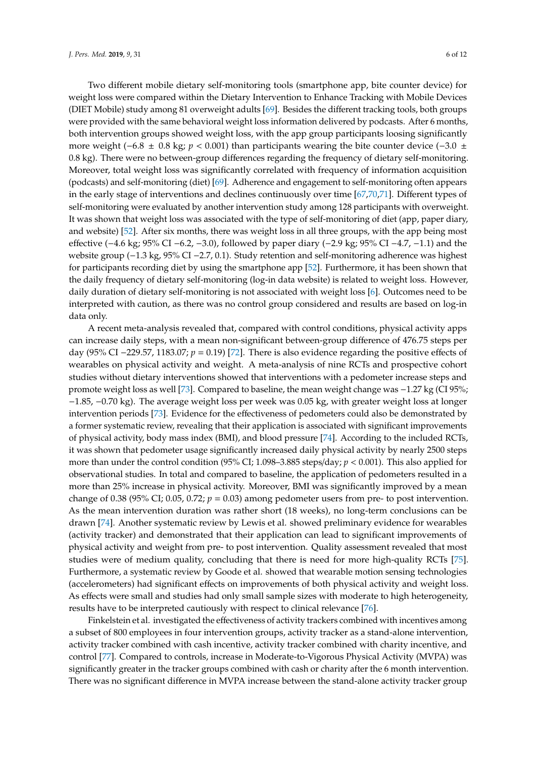Two different mobile dietary self-monitoring tools (smartphone app, bite counter device) for weight loss were compared within the Dietary Intervention to Enhance Tracking with Mobile Devices (DIET Mobile) study among 81 overweight adults [\[69\]](#page-10-10). Besides the different tracking tools, both groups were provided with the same behavioral weight loss information delivered by podcasts. After 6 months, both intervention groups showed weight loss, with the app group participants loosing significantly more weight ( $-6.8 \pm 0.8$  kg; *p* < 0.001) than participants wearing the bite counter device ( $-3.0 \pm 1.0$ 0.8 kg). There were no between-group differences regarding the frequency of dietary self-monitoring. Moreover, total weight loss was significantly correlated with frequency of information acquisition (podcasts) and self-monitoring (diet) [\[69\]](#page-10-10). Adherence and engagement to self-monitoring often appears in the early stage of interventions and declines continuously over time [\[67,](#page-10-8)[70,](#page-10-11)[71\]](#page-10-12). Different types of self-monitoring were evaluated by another intervention study among 128 participants with overweight. It was shown that weight loss was associated with the type of self-monitoring of diet (app, paper diary, and website) [\[52\]](#page-9-14). After six months, there was weight loss in all three groups, with the app being most effective (−4.6 kg; 95% CI −6.2, −3.0), followed by paper diary (−2.9 kg; 95% CI −4.7, −1.1) and the website group (−1.3 kg, 95% CI −2.7, 0.1). Study retention and self-monitoring adherence was highest for participants recording diet by using the smartphone app [\[52\]](#page-9-14). Furthermore, it has been shown that the daily frequency of dietary self-monitoring (log-in data website) is related to weight loss. However, daily duration of dietary self-monitoring is not associated with weight loss [\[6\]](#page-7-5). Outcomes need to be interpreted with caution, as there was no control group considered and results are based on log-in data only.

A recent meta-analysis revealed that, compared with control conditions, physical activity apps can increase daily steps, with a mean non-significant between-group difference of 476.75 steps per day (95% CI −229.57, 1183.07; *p* = 0.19) [\[72\]](#page-10-13). There is also evidence regarding the positive effects of wearables on physical activity and weight. A meta-analysis of nine RCTs and prospective cohort studies without dietary interventions showed that interventions with a pedometer increase steps and promote weight loss as well [\[73\]](#page-11-0). Compared to baseline, the mean weight change was −1.27 kg (CI 95%; −1.85, −0.70 kg). The average weight loss per week was 0.05 kg, with greater weight loss at longer intervention periods [\[73\]](#page-11-0). Evidence for the effectiveness of pedometers could also be demonstrated by a former systematic review, revealing that their application is associated with significant improvements of physical activity, body mass index (BMI), and blood pressure [\[74\]](#page-11-1). According to the included RCTs, it was shown that pedometer usage significantly increased daily physical activity by nearly 2500 steps more than under the control condition (95% CI; 1.098–3.885 steps/day; *p* < 0.001). This also applied for observational studies. In total and compared to baseline, the application of pedometers resulted in a more than 25% increase in physical activity. Moreover, BMI was significantly improved by a mean change of 0.38 (95% CI; 0.05, 0.72;  $p = 0.03$ ) among pedometer users from pre- to post intervention. As the mean intervention duration was rather short (18 weeks), no long-term conclusions can be drawn [\[74\]](#page-11-1). Another systematic review by Lewis et al. showed preliminary evidence for wearables (activity tracker) and demonstrated that their application can lead to significant improvements of physical activity and weight from pre- to post intervention. Quality assessment revealed that most studies were of medium quality, concluding that there is need for more high-quality RCTs [\[75\]](#page-11-2). Furthermore, a systematic review by Goode et al. showed that wearable motion sensing technologies (accelerometers) had significant effects on improvements of both physical activity and weight loss. As effects were small and studies had only small sample sizes with moderate to high heterogeneity, results have to be interpreted cautiously with respect to clinical relevance [\[76\]](#page-11-3).

Finkelstein et al. investigated the effectiveness of activity trackers combined with incentives among a subset of 800 employees in four intervention groups, activity tracker as a stand-alone intervention, activity tracker combined with cash incentive, activity tracker combined with charity incentive, and control [\[77\]](#page-11-4). Compared to controls, increase in Moderate-to-Vigorous Physical Activity (MVPA) was significantly greater in the tracker groups combined with cash or charity after the 6 month intervention. There was no significant difference in MVPA increase between the stand-alone activity tracker group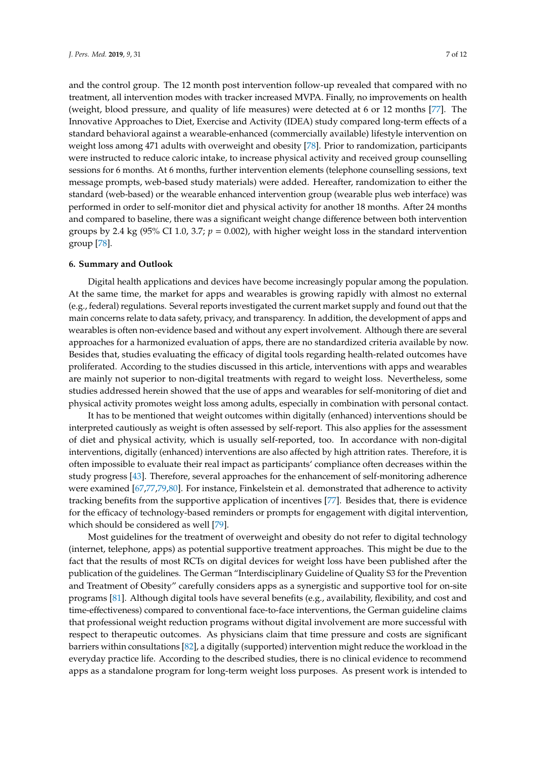and the control group. The 12 month post intervention follow-up revealed that compared with no treatment, all intervention modes with tracker increased MVPA. Finally, no improvements on health (weight, blood pressure, and quality of life measures) were detected at 6 or 12 months [\[77\]](#page-11-4). The Innovative Approaches to Diet, Exercise and Activity (IDEA) study compared long-term effects of a standard behavioral against a wearable-enhanced (commercially available) lifestyle intervention on weight loss among 471 adults with overweight and obesity [\[78\]](#page-11-5). Prior to randomization, participants were instructed to reduce caloric intake, to increase physical activity and received group counselling sessions for 6 months. At 6 months, further intervention elements (telephone counselling sessions, text message prompts, web-based study materials) were added. Hereafter, randomization to either the standard (web-based) or the wearable enhanced intervention group (wearable plus web interface) was performed in order to self-monitor diet and physical activity for another 18 months. After 24 months and compared to baseline, there was a significant weight change difference between both intervention groups by 2.4 kg (95% CI 1.0, 3.7;  $p = 0.002$ ), with higher weight loss in the standard intervention group [\[78\]](#page-11-5).

#### **6. Summary and Outlook**

Digital health applications and devices have become increasingly popular among the population. At the same time, the market for apps and wearables is growing rapidly with almost no external (e.g., federal) regulations. Several reports investigated the current market supply and found out that the main concerns relate to data safety, privacy, and transparency. In addition, the development of apps and wearables is often non-evidence based and without any expert involvement. Although there are several approaches for a harmonized evaluation of apps, there are no standardized criteria available by now. Besides that, studies evaluating the efficacy of digital tools regarding health-related outcomes have proliferated. According to the studies discussed in this article, interventions with apps and wearables are mainly not superior to non-digital treatments with regard to weight loss. Nevertheless, some studies addressed herein showed that the use of apps and wearables for self-monitoring of diet and physical activity promotes weight loss among adults, especially in combination with personal contact.

It has to be mentioned that weight outcomes within digitally (enhanced) interventions should be interpreted cautiously as weight is often assessed by self-report. This also applies for the assessment of diet and physical activity, which is usually self-reported, too. In accordance with non-digital interventions, digitally (enhanced) interventions are also affected by high attrition rates. Therefore, it is often impossible to evaluate their real impact as participants' compliance often decreases within the study progress [\[43\]](#page-9-6). Therefore, several approaches for the enhancement of self-monitoring adherence were examined [\[67,](#page-10-8)[77](#page-11-4)[,79](#page-11-6)[,80\]](#page-11-7). For instance, Finkelstein et al. demonstrated that adherence to activity tracking benefits from the supportive application of incentives [\[77\]](#page-11-4). Besides that, there is evidence for the efficacy of technology-based reminders or prompts for engagement with digital intervention, which should be considered as well [\[79\]](#page-11-6).

Most guidelines for the treatment of overweight and obesity do not refer to digital technology (internet, telephone, apps) as potential supportive treatment approaches. This might be due to the fact that the results of most RCTs on digital devices for weight loss have been published after the publication of the guidelines. The German "Interdisciplinary Guideline of Quality S3 for the Prevention and Treatment of Obesity" carefully considers apps as a synergistic and supportive tool for on-site programs [\[81\]](#page-11-8). Although digital tools have several benefits (e.g., availability, flexibility, and cost and time-effectiveness) compared to conventional face-to-face interventions, the German guideline claims that professional weight reduction programs without digital involvement are more successful with respect to therapeutic outcomes. As physicians claim that time pressure and costs are significant barriers within consultations [\[82\]](#page-11-9), a digitally (supported) intervention might reduce the workload in the everyday practice life. According to the described studies, there is no clinical evidence to recommend apps as a standalone program for long-term weight loss purposes. As present work is intended to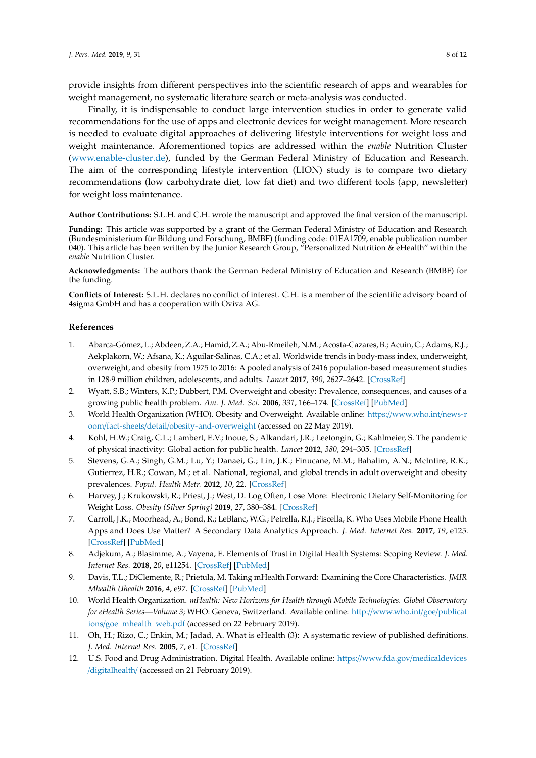provide insights from different perspectives into the scientific research of apps and wearables for weight management, no systematic literature search or meta-analysis was conducted.

Finally, it is indispensable to conduct large intervention studies in order to generate valid recommendations for the use of apps and electronic devices for weight management. More research is needed to evaluate digital approaches of delivering lifestyle interventions for weight loss and weight maintenance. Aforementioned topics are addressed within the *enable* Nutrition Cluster [\(www.enable-cluster.de\)](www.enable-cluster.de), funded by the German Federal Ministry of Education and Research. The aim of the corresponding lifestyle intervention (LION) study is to compare two dietary recommendations (low carbohydrate diet, low fat diet) and two different tools (app, newsletter) for weight loss maintenance.

**Author Contributions:** S.L.H. and C.H. wrote the manuscript and approved the final version of the manuscript.

**Funding:** This article was supported by a grant of the German Federal Ministry of Education and Research (Bundesministerium für Bildung und Forschung, BMBF) (funding code: 01EA1709, enable publication number 040). This article has been written by the Junior Research Group, "Personalized Nutrition & eHealth" within the *enable* Nutrition Cluster.

**Acknowledgments:** The authors thank the German Federal Ministry of Education and Research (BMBF) for the funding.

**Conflicts of Interest:** S.L.H. declares no conflict of interest. C.H. is a member of the scientific advisory board of 4sigma GmbH and has a cooperation with Oviva AG.

#### **References**

- <span id="page-7-0"></span>1. Abarca-Gómez, L.; Abdeen, Z.A.; Hamid, Z.A.; Abu-Rmeileh, N.M.; Acosta-Cazares, B.; Acuin, C.; Adams, R.J.; Aekplakorn, W.; Afsana, K.; Aguilar-Salinas, C.A.; et al. Worldwide trends in body-mass index, underweight, overweight, and obesity from 1975 to 2016: A pooled analysis of 2416 population-based measurement studies in 128·9 million children, adolescents, and adults. *Lancet* **2017**, *390*, 2627–2642. [\[CrossRef\]](http://dx.doi.org/10.1016/S0140-6736(17)32129-3)
- <span id="page-7-1"></span>2. Wyatt, S.B.; Winters, K.P.; Dubbert, P.M. Overweight and obesity: Prevalence, consequences, and causes of a growing public health problem. *Am. J. Med. Sci.* **2006**, *331*, 166–174. [\[CrossRef\]](http://dx.doi.org/10.1097/00000441-200604000-00002) [\[PubMed\]](http://www.ncbi.nlm.nih.gov/pubmed/16617231)
- <span id="page-7-2"></span>3. World Health Organization (WHO). Obesity and Overweight. Available online: https://[www.who.int](https://www.who.int/news-room/fact-sheets/detail/obesity-and-overweight)/news-r oom/fact-sheets/detail/[obesity-and-overweight](https://www.who.int/news-room/fact-sheets/detail/obesity-and-overweight) (accessed on 22 May 2019).
- <span id="page-7-3"></span>4. Kohl, H.W.; Craig, C.L.; Lambert, E.V.; Inoue, S.; Alkandari, J.R.; Leetongin, G.; Kahlmeier, S. The pandemic of physical inactivity: Global action for public health. *Lancet* **2012**, *380*, 294–305. [\[CrossRef\]](http://dx.doi.org/10.1016/S0140-6736(12)60898-8)
- <span id="page-7-4"></span>5. Stevens, G.A.; Singh, G.M.; Lu, Y.; Danaei, G.; Lin, J.K.; Finucane, M.M.; Bahalim, A.N.; McIntire, R.K.; Gutierrez, H.R.; Cowan, M.; et al. National, regional, and global trends in adult overweight and obesity prevalences. *Popul. Health Metr.* **2012**, *10*, 22. [\[CrossRef\]](http://dx.doi.org/10.1186/1478-7954-10-22)
- <span id="page-7-5"></span>6. Harvey, J.; Krukowski, R.; Priest, J.; West, D. Log Often, Lose More: Electronic Dietary Self-Monitoring for Weight Loss. *Obesity (Silver Spring)* **2019**, *27*, 380–384. [\[CrossRef\]](http://dx.doi.org/10.1002/oby.22382)
- <span id="page-7-6"></span>7. Carroll, J.K.; Moorhead, A.; Bond, R.; LeBlanc, W.G.; Petrella, R.J.; Fiscella, K. Who Uses Mobile Phone Health Apps and Does Use Matter? A Secondary Data Analytics Approach. *J. Med. Internet Res.* **2017**, *19*, e125. [\[CrossRef\]](http://dx.doi.org/10.2196/jmir.5604) [\[PubMed\]](http://www.ncbi.nlm.nih.gov/pubmed/28428170)
- <span id="page-7-7"></span>8. Adjekum, A.; Blasimme, A.; Vayena, E. Elements of Trust in Digital Health Systems: Scoping Review. *J. Med. Internet Res.* **2018**, *20*, e11254. [\[CrossRef\]](http://dx.doi.org/10.2196/11254) [\[PubMed\]](http://www.ncbi.nlm.nih.gov/pubmed/30545807)
- <span id="page-7-9"></span>9. Davis, T.L.; DiClemente, R.; Prietula, M. Taking mHealth Forward: Examining the Core Characteristics. *JMIR Mhealth Uhealth* **2016**, *4*, e97. [\[CrossRef\]](http://dx.doi.org/10.2196/mhealth.5659) [\[PubMed\]](http://www.ncbi.nlm.nih.gov/pubmed/27511612)
- <span id="page-7-8"></span>10. World Health Organization. *mHealth: New Horizons for Health through Mobile Technologies. Global Observatory for eHealth Series—Volume 3*; WHO: Geneva, Switzerland. Available online: http://[www.who.int](http://www.who.int/goe/publications/goe_mhealth_web.pdf)/goe/publicat ions/[goe\\_mhealth\\_web.pdf](http://www.who.int/goe/publications/goe_mhealth_web.pdf) (accessed on 22 February 2019).
- <span id="page-7-10"></span>11. Oh, H.; Rizo, C.; Enkin, M.; Jadad, A. What is eHealth (3): A systematic review of published definitions. *J. Med. Internet Res.* **2005**, *7*, e1. [\[CrossRef\]](http://dx.doi.org/10.2196/jmir.7.1.e1)
- <span id="page-7-11"></span>12. U.S. Food and Drug Administration. Digital Health. Available online: https://www.fda.gov/[medicaldevices](https://www.fda.gov/medicaldevices/digitalhealth/) /[digitalhealth](https://www.fda.gov/medicaldevices/digitalhealth/)/ (accessed on 21 February 2019).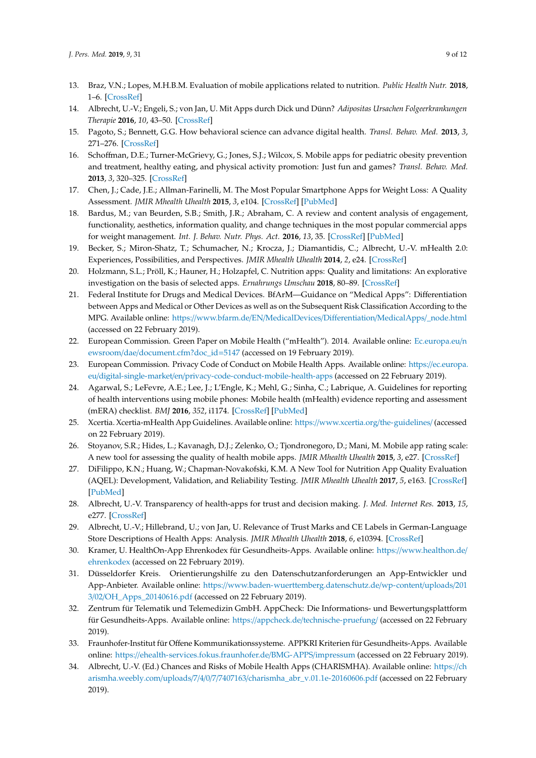- <span id="page-8-0"></span>13. Braz, V.N.; Lopes, M.H.B.M. Evaluation of mobile applications related to nutrition. *Public Health Nutr.* **2018**, 1–6. [\[CrossRef\]](http://dx.doi.org/10.1017/S136898001800109X)
- <span id="page-8-4"></span>14. Albrecht, U.-V.; Engeli, S.; von Jan, U. Mit Apps durch Dick und Dünn? *Adipositas Ursachen Folgeerkrankungen Therapie* **2016**, *10*, 43–50. [\[CrossRef\]](http://dx.doi.org/10.1055/s-0037-1617691)
- 15. Pagoto, S.; Bennett, G.G. How behavioral science can advance digital health. *Transl. Behav. Med.* **2013**, *3*, 271–276. [\[CrossRef\]](http://dx.doi.org/10.1007/s13142-013-0234-z)
- <span id="page-8-1"></span>16. Schoffman, D.E.; Turner-McGrievy, G.; Jones, S.J.; Wilcox, S. Mobile apps for pediatric obesity prevention and treatment, healthy eating, and physical activity promotion: Just fun and games? *Transl. Behav. Med.* **2013**, *3*, 320–325. [\[CrossRef\]](http://dx.doi.org/10.1007/s13142-013-0206-3)
- <span id="page-8-2"></span>17. Chen, J.; Cade, J.E.; Allman-Farinelli, M. The Most Popular Smartphone Apps for Weight Loss: A Quality Assessment. *JMIR Mhealth Uhealth* **2015**, *3*, e104. [\[CrossRef\]](http://dx.doi.org/10.2196/mhealth.4334) [\[PubMed\]](http://www.ncbi.nlm.nih.gov/pubmed/26678569)
- 18. Bardus, M.; van Beurden, S.B.; Smith, J.R.; Abraham, C. A review and content analysis of engagement, functionality, aesthetics, information quality, and change techniques in the most popular commercial apps for weight management. *Int. J. Behav. Nutr. Phys. Act.* **2016**, *13*, 35. [\[CrossRef\]](http://dx.doi.org/10.1186/s12966-016-0359-9) [\[PubMed\]](http://www.ncbi.nlm.nih.gov/pubmed/26964880)
- 19. Becker, S.; Miron-Shatz, T.; Schumacher, N.; Krocza, J.; Diamantidis, C.; Albrecht, U.-V. mHealth 2.0: Experiences, Possibilities, and Perspectives. *JMIR Mhealth Uhealth* **2014**, *2*, e24. [\[CrossRef\]](http://dx.doi.org/10.2196/mhealth.3328)
- <span id="page-8-3"></span>20. Holzmann, S.L.; Pröll, K.; Hauner, H.; Holzapfel, C. Nutrition apps: Quality and limitations: An explorative investigation on the basis of selected apps. *Ernahrungs Umschau* **2018**, 80–89. [\[CrossRef\]](http://dx.doi.org/10.4455/eu.2017.018)
- <span id="page-8-5"></span>21. Federal Institute for Drugs and Medical Devices. BfArM—Guidance on "Medical Apps": Differentiation between Apps and Medical or Other Devices as well as on the Subsequent Risk Classification According to the MPG. Available online: https://www.bfarm.de/EN/[MedicalDevices](https://www.bfarm.de/EN/MedicalDevices/Differentiation/MedicalApps/_node.html)/Differentiation/MedicalApps/\_node.html (accessed on 22 February 2019).
- <span id="page-8-6"></span>22. European Commission. Green Paper on Mobile Health ("mHealth"). 2014. Available online: [Ec.europa.eu](Ec.europa.eu/newsroom/dae/document.cfm?doc_id=5147)/n ewsroom/dae/[document.cfm?doc\\_id](Ec.europa.eu/newsroom/dae/document.cfm?doc_id=5147)=5147 (accessed on 19 February 2019).
- <span id="page-8-7"></span>23. European Commission. Privacy Code of Conduct on Mobile Health Apps. Available online: https://[ec.europa.](https://ec.europa.eu/digital-single-market/en/privacy-code-conduct-mobile-health-apps) eu/digital-single-market/en/[privacy-code-conduct-mobile-health-apps](https://ec.europa.eu/digital-single-market/en/privacy-code-conduct-mobile-health-apps) (accessed on 22 February 2019).
- <span id="page-8-8"></span>24. Agarwal, S.; LeFevre, A.E.; Lee, J.; L'Engle, K.; Mehl, G.; Sinha, C.; Labrique, A. Guidelines for reporting of health interventions using mobile phones: Mobile health (mHealth) evidence reporting and assessment (mERA) checklist. *BMJ* **2016**, *352*, i1174. [\[CrossRef\]](http://dx.doi.org/10.1136/bmj.i1174) [\[PubMed\]](http://www.ncbi.nlm.nih.gov/pubmed/26988021)
- <span id="page-8-9"></span>25. Xcertia. Xcertia-mHealth App Guidelines. Available online: https://[www.xcertia.org](https://www.xcertia.org/the-guidelines/)/the-guidelines/ (accessed on 22 February 2019).
- <span id="page-8-10"></span>26. Stoyanov, S.R.; Hides, L.; Kavanagh, D.J.; Zelenko, O.; Tjondronegoro, D.; Mani, M. Mobile app rating scale: A new tool for assessing the quality of health mobile apps. *JMIR Mhealth Uhealth* **2015**, *3*, e27. [\[CrossRef\]](http://dx.doi.org/10.2196/mhealth.3422)
- <span id="page-8-11"></span>27. DiFilippo, K.N.; Huang, W.; Chapman-Novakofski, K.M. A New Tool for Nutrition App Quality Evaluation (AQEL): Development, Validation, and Reliability Testing. *JMIR Mhealth Uhealth* **2017**, *5*, e163. [\[CrossRef\]](http://dx.doi.org/10.2196/mhealth.7441) [\[PubMed\]](http://www.ncbi.nlm.nih.gov/pubmed/29079554)
- <span id="page-8-12"></span>28. Albrecht, U.-V. Transparency of health-apps for trust and decision making. *J. Med. Internet Res.* **2013**, *15*, e277. [\[CrossRef\]](http://dx.doi.org/10.2196/jmir.2981)
- <span id="page-8-14"></span>29. Albrecht, U.-V.; Hillebrand, U.; von Jan, U. Relevance of Trust Marks and CE Labels in German-Language Store Descriptions of Health Apps: Analysis. *JMIR Mhealth Uhealth* **2018**, *6*, e10394. [\[CrossRef\]](http://dx.doi.org/10.2196/10394)
- <span id="page-8-13"></span>30. Kramer, U. HealthOn-App Ehrenkodex für Gesundheits-Apps. Available online: https://[www.healthon.de](https://www.healthon.de/ehrenkodex)/ [ehrenkodex](https://www.healthon.de/ehrenkodex) (accessed on 22 February 2019).
- 31. Düsseldorfer Kreis. Orientierungshilfe zu den Datenschutzanforderungen an App-Entwickler und App-Anbieter. Available online: https://[www.baden-wuerttemberg.datenschutz.de](https://www.baden-wuerttemberg.datenschutz.de/wp-content/uploads/2013/02/OH_Apps_20140616.pdf)/wp-content/uploads/201 3/02/[OH\\_Apps\\_20140616.pdf](https://www.baden-wuerttemberg.datenschutz.de/wp-content/uploads/2013/02/OH_Apps_20140616.pdf) (accessed on 22 February 2019).
- 32. Zentrum für Telematik und Telemedizin GmbH. AppCheck: Die Informations- und Bewertungsplattform für Gesundheits-Apps. Available online: https://appcheck.de/[technische-pruefung](https://appcheck.de/technische-pruefung/)/ (accessed on 22 February 2019).
- 33. Fraunhofer-Institut für Offene Kommunikationssysteme. APPKRI Kriterien für Gesundheits-Apps. Available online: https://[ehealth-services.fokus.fraunhofer.de](https://ehealth-services.fokus.fraunhofer.de/BMG-APPS/impressum)/BMG-APPS/impressum (accessed on 22 February 2019).
- 34. Albrecht, U.-V. (Ed.) Chances and Risks of Mobile Health Apps (CHARISMHA). Available online: [https:](https://charismha.weebly.com/uploads/7/4/0/7/7407163/charismha_abr_v.01.1e-20160606.pdf)//ch arismha.weebly.com/uploads/7/4/0/7/7407163/[charismha\\_abr\\_v.01.1e-20160606.pdf](https://charismha.weebly.com/uploads/7/4/0/7/7407163/charismha_abr_v.01.1e-20160606.pdf) (accessed on 22 February 2019).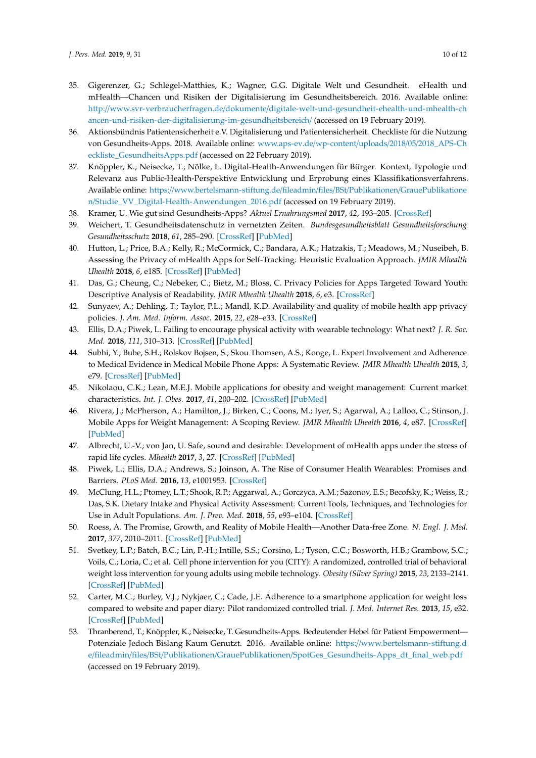- 35. Gigerenzer, G.; Schlegel-Matthies, K.; Wagner, G.G. Digitale Welt und Gesundheit. eHealth und mHealth—Chancen und Risiken der Digitalisierung im Gesundheitsbereich. 2016. Available online: http://www.svr-verbraucherfragen.de/dokumente/[digitale-welt-und-gesundheit-ehealth-und-mhealth-ch](http://www.svr-verbraucherfragen.de/dokumente/digitale-welt-und-gesundheit-ehealth-und-mhealth-chancen-und-risiken-der-digitalisierung-im-gesundheitsbereich/) [ancen-und-risiken-der-digitalisierung-im-gesundheitsbereich](http://www.svr-verbraucherfragen.de/dokumente/digitale-welt-und-gesundheit-ehealth-und-mhealth-chancen-und-risiken-der-digitalisierung-im-gesundheitsbereich/)/ (accessed on 19 February 2019).
- 36. Aktionsbündnis Patientensicherheit e.V. Digitalisierung und Patientensicherheit. Checkliste für die Nutzung von Gesundheits-Apps. 2018. Available online: [www.aps-ev.de](www.aps-ev.de/wp-content/uploads/2018/05/2018_APS-Checkliste_GesundheitsApps.pdf)/wp-content/uploads/2018/05/2018\_APS-Ch [eckliste\\_GesundheitsApps.pdf](www.aps-ev.de/wp-content/uploads/2018/05/2018_APS-Checkliste_GesundheitsApps.pdf) (accessed on 22 February 2019).
- <span id="page-9-0"></span>37. Knöppler, K.; Neisecke, T.; Nölke, L. Digital-Health-Anwendungen für Bürger. Kontext, Typologie und Relevanz aus Public-Health-Perspektive Entwicklung und Erprobung eines Klassifikationsverfahrens. Available online: https://[www.bertelsmann-stiftung.de](https://www.bertelsmann-stiftung.de/fileadmin/files/BSt/Publikationen/GrauePublikationen/Studie_VV_Digital-Health-Anwendungen_2016.pdf)/fileadmin/files/BSt/Publikationen/GrauePublikatione n/[Studie\\_VV\\_Digital-Health-Anwendungen\\_2016.pdf](https://www.bertelsmann-stiftung.de/fileadmin/files/BSt/Publikationen/GrauePublikationen/Studie_VV_Digital-Health-Anwendungen_2016.pdf) (accessed on 19 February 2019).
- <span id="page-9-1"></span>38. Kramer, U. Wie gut sind Gesundheits-Apps? *Aktuel Ernahrungsmed* **2017**, *42*, 193–205. [\[CrossRef\]](http://dx.doi.org/10.1055/s-0043-109130)
- <span id="page-9-2"></span>39. Weichert, T. Gesundheitsdatenschutz in vernetzten Zeiten. *Bundesgesundheitsblatt Gesundheitsforschung Gesundheitsschutz* **2018**, *61*, 285–290. [\[CrossRef\]](http://dx.doi.org/10.1007/s00103-017-2686-7) [\[PubMed\]](http://www.ncbi.nlm.nih.gov/pubmed/29335745)
- <span id="page-9-3"></span>40. Hutton, L.; Price, B.A.; Kelly, R.; McCormick, C.; Bandara, A.K.; Hatzakis, T.; Meadows, M.; Nuseibeh, B. Assessing the Privacy of mHealth Apps for Self-Tracking: Heuristic Evaluation Approach. *JMIR Mhealth Uhealth* **2018**, *6*, e185. [\[CrossRef\]](http://dx.doi.org/10.2196/mhealth.9217) [\[PubMed\]](http://www.ncbi.nlm.nih.gov/pubmed/30348623)
- <span id="page-9-4"></span>41. Das, G.; Cheung, C.; Nebeker, C.; Bietz, M.; Bloss, C. Privacy Policies for Apps Targeted Toward Youth: Descriptive Analysis of Readability. *JMIR Mhealth Uhealth* **2018**, *6*, e3. [\[CrossRef\]](http://dx.doi.org/10.2196/mhealth.7626)
- <span id="page-9-5"></span>42. Sunyaev, A.; Dehling, T.; Taylor, P.L.; Mandl, K.D. Availability and quality of mobile health app privacy policies. *J. Am. Med. Inform. Assoc.* **2015**, *22*, e28–e33. [\[CrossRef\]](http://dx.doi.org/10.1136/amiajnl-2013-002605)
- <span id="page-9-6"></span>43. Ellis, D.A.; Piwek, L. Failing to encourage physical activity with wearable technology: What next? *J. R. Soc. Med.* **2018**, *111*, 310–313. [\[CrossRef\]](http://dx.doi.org/10.1177/0141076818788856) [\[PubMed\]](http://www.ncbi.nlm.nih.gov/pubmed/30032696)
- <span id="page-9-7"></span>44. Subhi, Y.; Bube, S.H.; Rolskov Bojsen, S.; Skou Thomsen, A.S.; Konge, L. Expert Involvement and Adherence to Medical Evidence in Medical Mobile Phone Apps: A Systematic Review. *JMIR Mhealth Uhealth* **2015**, *3*, e79. [\[CrossRef\]](http://dx.doi.org/10.2196/mhealth.4169) [\[PubMed\]](http://www.ncbi.nlm.nih.gov/pubmed/26215371)
- <span id="page-9-8"></span>45. Nikolaou, C.K.; Lean, M.E.J. Mobile applications for obesity and weight management: Current market characteristics. *Int. J. Obes.* **2017**, *41*, 200–202. [\[CrossRef\]](http://dx.doi.org/10.1038/ijo.2016.186) [\[PubMed\]](http://www.ncbi.nlm.nih.gov/pubmed/27780974)
- <span id="page-9-9"></span>46. Rivera, J.; McPherson, A.; Hamilton, J.; Birken, C.; Coons, M.; Iyer, S.; Agarwal, A.; Lalloo, C.; Stinson, J. Mobile Apps for Weight Management: A Scoping Review. *JMIR Mhealth Uhealth* **2016**, *4*, e87. [\[CrossRef\]](http://dx.doi.org/10.2196/mhealth.5115) [\[PubMed\]](http://www.ncbi.nlm.nih.gov/pubmed/27460502)
- <span id="page-9-10"></span>47. Albrecht, U.-V.; von Jan, U. Safe, sound and desirable: Development of mHealth apps under the stress of rapid life cycles. *Mhealth* **2017**, *3*, 27. [\[CrossRef\]](http://dx.doi.org/10.21037/mhealth.2017.06.05) [\[PubMed\]](http://www.ncbi.nlm.nih.gov/pubmed/28828374)
- <span id="page-9-11"></span>48. Piwek, L.; Ellis, D.A.; Andrews, S.; Joinson, A. The Rise of Consumer Health Wearables: Promises and Barriers. *PLoS Med.* **2016**, *13*, e1001953. [\[CrossRef\]](http://dx.doi.org/10.1371/journal.pmed.1001953)
- <span id="page-9-12"></span>49. McClung, H.L.; Ptomey, L.T.; Shook, R.P.; Aggarwal, A.; Gorczyca, A.M.; Sazonov, E.S.; Becofsky, K.; Weiss, R.; Das, S.K. Dietary Intake and Physical Activity Assessment: Current Tools, Techniques, and Technologies for Use in Adult Populations. *Am. J. Prev. Med.* **2018**, *55*, e93–e104. [\[CrossRef\]](http://dx.doi.org/10.1016/j.amepre.2018.06.011)
- <span id="page-9-13"></span>50. Roess, A. The Promise, Growth, and Reality of Mobile Health—Another Data-free Zone. *N. Engl. J. Med.* **2017**, *377*, 2010–2011. [\[CrossRef\]](http://dx.doi.org/10.1056/NEJMp1713180) [\[PubMed\]](http://www.ncbi.nlm.nih.gov/pubmed/29116869)
- <span id="page-9-16"></span>51. Svetkey, L.P.; Batch, B.C.; Lin, P.-H.; Intille, S.S.; Corsino, L.; Tyson, C.C.; Bosworth, H.B.; Grambow, S.C.; Voils, C.; Loria, C.; et al. Cell phone intervention for you (CITY): A randomized, controlled trial of behavioral weight loss intervention for young adults using mobile technology. *Obesity (Silver Spring)* **2015**, *23*, 2133–2141. [\[CrossRef\]](http://dx.doi.org/10.1002/oby.21226) [\[PubMed\]](http://www.ncbi.nlm.nih.gov/pubmed/26530929)
- <span id="page-9-14"></span>52. Carter, M.C.; Burley, V.J.; Nykjaer, C.; Cade, J.E. Adherence to a smartphone application for weight loss compared to website and paper diary: Pilot randomized controlled trial. *J. Med. Internet Res.* **2013**, *15*, e32. [\[CrossRef\]](http://dx.doi.org/10.2196/jmir.2283) [\[PubMed\]](http://www.ncbi.nlm.nih.gov/pubmed/23587561)
- <span id="page-9-15"></span>53. Thranberend, T.; Knöppler, K.; Neisecke, T. Gesundheits-Apps. Bedeutender Hebel für Patient Empowerment— Potenziale Jedoch Bislang Kaum Genutzt. 2016. Available online: https://[www.bertelsmann-stiftung.d](https://www.bertelsmann-stiftung.de/fileadmin/files/BSt/Publikationen/GrauePublikationen/SpotGes_Gesundheits-Apps_dt_final_web.pdf) e/fileadmin/files/BSt/Publikationen/GrauePublikationen/[SpotGes\\_Gesundheits-Apps\\_dt\\_final\\_web.pdf](https://www.bertelsmann-stiftung.de/fileadmin/files/BSt/Publikationen/GrauePublikationen/SpotGes_Gesundheits-Apps_dt_final_web.pdf) (accessed on 19 February 2019).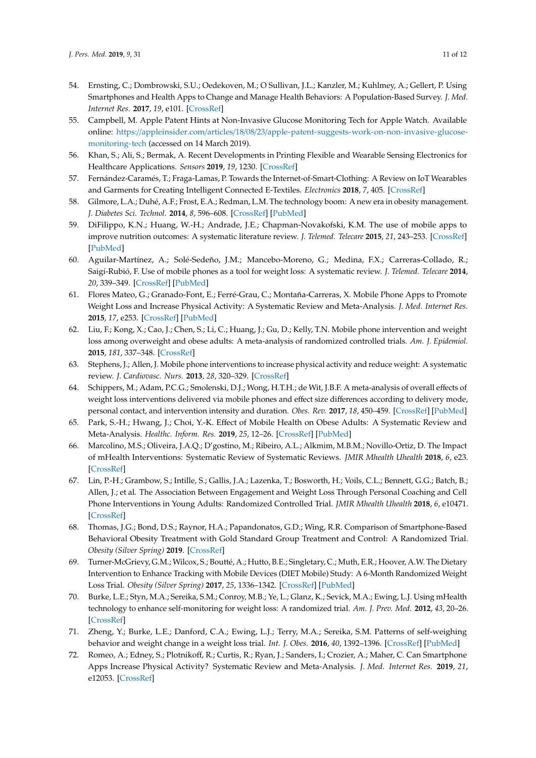- <span id="page-10-0"></span>54. Ernsting, C.; Dombrowski, S.U.; Oedekoven, M.; O Sullivan, J.L.; Kanzler, M.; Kuhlmey, A.; Gellert, P. Using Smartphones and Health Apps to Change and Manage Health Behaviors: A Population-Based Survey. *J. Med. Internet Res.* **2017**, *19*, e101. [\[CrossRef\]](http://dx.doi.org/10.2196/jmir.6838)
- <span id="page-10-1"></span>55. Campbell, M. Apple Patent Hints at Non-Invasive Glucose Monitoring Tech for Apple Watch. Available online: https://appleinsider.com/articles/18/08/23/[apple-patent-suggests-work-on-non-invasive-glucose](https://appleinsider.com/articles/18/08/23/apple-patent-suggests-work-on-non-invasive-glucose-monitoring-tech)[monitoring-tech](https://appleinsider.com/articles/18/08/23/apple-patent-suggests-work-on-non-invasive-glucose-monitoring-tech) (accessed on 14 March 2019).
- <span id="page-10-2"></span>56. Khan, S.; Ali, S.; Bermak, A. Recent Developments in Printing Flexible and Wearable Sensing Electronics for Healthcare Applications. *Sensors* **2019**, *19*, 1230. [\[CrossRef\]](http://dx.doi.org/10.3390/s19051230)
- <span id="page-10-3"></span>57. Fernández-Caramés, T.; Fraga-Lamas, P. Towards the Internet-of-Smart-Clothing: A Review on IoT Wearables and Garments for Creating Intelligent Connected E-Textiles. *Electronics* **2018**, *7*, 405. [\[CrossRef\]](http://dx.doi.org/10.3390/electronics7120405)
- <span id="page-10-4"></span>58. Gilmore, L.A.; Duhé, A.F.; Frost, E.A.; Redman, L.M. The technology boom: A new era in obesity management. *J. Diabetes Sci. Technol.* **2014**, *8*, 596–608. [\[CrossRef\]](http://dx.doi.org/10.1177/1932296814525189) [\[PubMed\]](http://www.ncbi.nlm.nih.gov/pubmed/24876625)
- <span id="page-10-5"></span>59. DiFilippo, K.N.; Huang, W.-H.; Andrade, J.E.; Chapman-Novakofski, K.M. The use of mobile apps to improve nutrition outcomes: A systematic literature review. *J. Telemed. Telecare* **2015**, *21*, 243–253. [\[CrossRef\]](http://dx.doi.org/10.1177/1357633X15572203) [\[PubMed\]](http://www.ncbi.nlm.nih.gov/pubmed/25680388)
- 60. Aguilar-Martínez, A.; Solé-Sedeño, J.M.; Mancebo-Moreno, G.; Medina, F.X.; Carreras-Collado, R.; Saigí-Rubió, F. Use of mobile phones as a tool for weight loss: A systematic review. *J. Telemed. Telecare* **2014**, *20*, 339–349. [\[CrossRef\]](http://dx.doi.org/10.1177/1357633X14537777) [\[PubMed\]](http://www.ncbi.nlm.nih.gov/pubmed/24875928)
- 61. Flores Mateo, G.; Granado-Font, E.; Ferré-Grau, C.; Montaña-Carreras, X. Mobile Phone Apps to Promote Weight Loss and Increase Physical Activity: A Systematic Review and Meta-Analysis. *J. Med. Internet Res.* **2015**, *17*, e253. [\[CrossRef\]](http://dx.doi.org/10.2196/jmir.4836) [\[PubMed\]](http://www.ncbi.nlm.nih.gov/pubmed/26554314)
- 62. Liu, F.; Kong, X.; Cao, J.; Chen, S.; Li, C.; Huang, J.; Gu, D.; Kelly, T.N. Mobile phone intervention and weight loss among overweight and obese adults: A meta-analysis of randomized controlled trials. *Am. J. Epidemiol.* **2015**, *181*, 337–348. [\[CrossRef\]](http://dx.doi.org/10.1093/aje/kwu260)
- 63. Stephens, J.; Allen, J. Mobile phone interventions to increase physical activity and reduce weight: A systematic review. *J. Cardiovasc. Nurs.* **2013**, *28*, 320–329. [\[CrossRef\]](http://dx.doi.org/10.1097/JCN.0b013e318250a3e7)
- 64. Schippers, M.; Adam, P.C.G.; Smolenski, D.J.; Wong, H.T.H.; de Wit, J.B.F. A meta-analysis of overall effects of weight loss interventions delivered via mobile phones and effect size differences according to delivery mode, personal contact, and intervention intensity and duration. *Obes. Rev.* **2017**, *18*, 450–459. [\[CrossRef\]](http://dx.doi.org/10.1111/obr.12492) [\[PubMed\]](http://www.ncbi.nlm.nih.gov/pubmed/28187246)
- <span id="page-10-6"></span>65. Park, S.-H.; Hwang, J.; Choi, Y.-K. Effect of Mobile Health on Obese Adults: A Systematic Review and Meta-Analysis. *Healthc. Inform. Res.* **2019**, *25*, 12–26. [\[CrossRef\]](http://dx.doi.org/10.4258/hir.2019.25.1.12) [\[PubMed\]](http://www.ncbi.nlm.nih.gov/pubmed/30788177)
- <span id="page-10-7"></span>66. Marcolino, M.S.; Oliveira, J.A.Q.; D'gostino, M.; Ribeiro, A.L.; Alkmim, M.B.M.; Novillo-Ortiz, D. The Impact of mHealth Interventions: Systematic Review of Systematic Reviews. *JMIR Mhealth Uhealth* **2018**, *6*, e23. [\[CrossRef\]](http://dx.doi.org/10.2196/mhealth.8873)
- <span id="page-10-8"></span>67. Lin, P.-H.; Grambow, S.; Intille, S.; Gallis, J.A.; Lazenka, T.; Bosworth, H.; Voils, C.L.; Bennett, G.G.; Batch, B.; Allen, J.; et al. The Association Between Engagement and Weight Loss Through Personal Coaching and Cell Phone Interventions in Young Adults: Randomized Controlled Trial. *JMIR Mhealth Uhealth* **2018**, *6*, e10471. [\[CrossRef\]](http://dx.doi.org/10.2196/10471)
- <span id="page-10-9"></span>68. Thomas, J.G.; Bond, D.S.; Raynor, H.A.; Papandonatos, G.D.; Wing, R.R. Comparison of Smartphone-Based Behavioral Obesity Treatment with Gold Standard Group Treatment and Control: A Randomized Trial. *Obesity (Silver Spring)* **2019**. [\[CrossRef\]](http://dx.doi.org/10.1002/oby.22410)
- <span id="page-10-10"></span>69. Turner-McGrievy, G.M.; Wilcox, S.; Boutté, A.; Hutto, B.E.; Singletary, C.; Muth, E.R.; Hoover, A.W. The Dietary Intervention to Enhance Tracking with Mobile Devices (DIET Mobile) Study: A 6-Month Randomized Weight Loss Trial. *Obesity (Silver Spring)* **2017**, *25*, 1336–1342. [\[CrossRef\]](http://dx.doi.org/10.1002/oby.21889) [\[PubMed\]](http://www.ncbi.nlm.nih.gov/pubmed/28600833)
- <span id="page-10-11"></span>70. Burke, L.E.; Styn, M.A.; Sereika, S.M.; Conroy, M.B.; Ye, L.; Glanz, K.; Sevick, M.A.; Ewing, L.J. Using mHealth technology to enhance self-monitoring for weight loss: A randomized trial. *Am. J. Prev. Med.* **2012**, *43*, 20–26. [\[CrossRef\]](http://dx.doi.org/10.1016/j.amepre.2012.03.016)
- <span id="page-10-12"></span>71. Zheng, Y.; Burke, L.E.; Danford, C.A.; Ewing, L.J.; Terry, M.A.; Sereika, S.M. Patterns of self-weighing behavior and weight change in a weight loss trial. *Int. J. Obes.* **2016**, *40*, 1392–1396. [\[CrossRef\]](http://dx.doi.org/10.1038/ijo.2016.68) [\[PubMed\]](http://www.ncbi.nlm.nih.gov/pubmed/27113642)
- <span id="page-10-13"></span>72. Romeo, A.; Edney, S.; Plotnikoff, R.; Curtis, R.; Ryan, J.; Sanders, I.; Crozier, A.; Maher, C. Can Smartphone Apps Increase Physical Activity? Systematic Review and Meta-Analysis. *J. Med. Internet Res.* **2019**, *21*, e12053. [\[CrossRef\]](http://dx.doi.org/10.2196/12053)